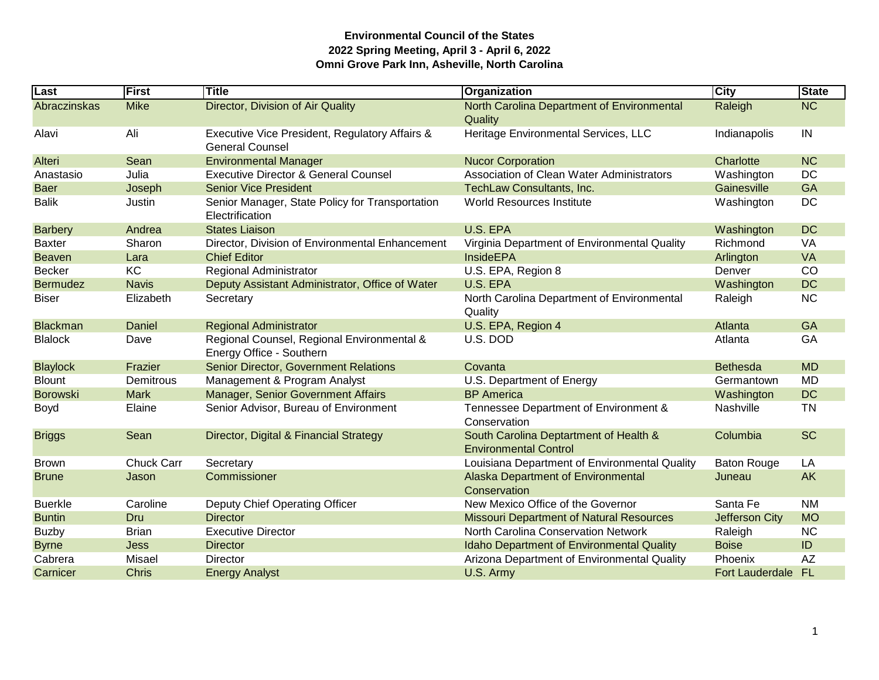| Last            | First             | <b>Title</b>                                                             | Organization                                                           | <b>City</b>        | <b>State</b>           |
|-----------------|-------------------|--------------------------------------------------------------------------|------------------------------------------------------------------------|--------------------|------------------------|
| Abraczinskas    | <b>Mike</b>       | Director, Division of Air Quality                                        | North Carolina Department of Environmental<br>Quality                  | Raleigh            | $\overline{\text{NC}}$ |
| Alavi           | Ali               | Executive Vice President, Regulatory Affairs &<br><b>General Counsel</b> | Heritage Environmental Services, LLC                                   | Indianapolis       | IN                     |
| Alteri          | Sean              | <b>Environmental Manager</b>                                             | <b>Nucor Corporation</b>                                               | Charlotte          | <b>NC</b>              |
| Anastasio       | Julia             | <b>Executive Director &amp; General Counsel</b>                          | Association of Clean Water Administrators                              | Washington         | DC                     |
| <b>Baer</b>     | Joseph            | <b>Senior Vice President</b>                                             | TechLaw Consultants, Inc.                                              | Gainesville        | <b>GA</b>              |
| <b>Balik</b>    | Justin            | Senior Manager, State Policy for Transportation<br>Electrification       | World Resources Institute                                              | Washington         | DC                     |
| <b>Barbery</b>  | Andrea            | <b>States Liaison</b>                                                    | U.S. EPA                                                               | Washington         | <b>DC</b>              |
| <b>Baxter</b>   | Sharon            | Director, Division of Environmental Enhancement                          | Virginia Department of Environmental Quality                           | Richmond           | VA                     |
| <b>Beaven</b>   | Lara              | <b>Chief Editor</b>                                                      | <b>InsideEPA</b>                                                       | Arlington          | <b>VA</b>              |
| <b>Becker</b>   | KC                | Regional Administrator                                                   | U.S. EPA, Region 8                                                     | Denver             | CO                     |
| <b>Bermudez</b> | <b>Navis</b>      | Deputy Assistant Administrator, Office of Water                          | U.S. EPA                                                               | Washington         | <b>DC</b>              |
| <b>Biser</b>    | Elizabeth         | Secretary                                                                | North Carolina Department of Environmental<br>Quality                  | Raleigh            | <b>NC</b>              |
| <b>Blackman</b> | Daniel            | <b>Regional Administrator</b>                                            | U.S. EPA, Region 4                                                     | Atlanta            | <b>GA</b>              |
| <b>Blalock</b>  | Dave              | Regional Counsel, Regional Environmental &<br>Energy Office - Southern   | U.S. DOD                                                               | Atlanta            | GA                     |
| <b>Blaylock</b> | Frazier           | <b>Senior Director, Government Relations</b>                             | Covanta                                                                | <b>Bethesda</b>    | <b>MD</b>              |
| <b>Blount</b>   | Demitrous         | Management & Program Analyst                                             | U.S. Department of Energy                                              | Germantown         | <b>MD</b>              |
| <b>Borowski</b> | <b>Mark</b>       | Manager, Senior Government Affairs                                       | <b>BP</b> America                                                      | Washington         | <b>DC</b>              |
| Boyd            | Elaine            | Senior Advisor, Bureau of Environment                                    | Tennessee Department of Environment &<br>Conservation                  | Nashville          | <b>TN</b>              |
| <b>Briggs</b>   | Sean              | Director, Digital & Financial Strategy                                   | South Carolina Deptartment of Health &<br><b>Environmental Control</b> | Columbia           | <b>SC</b>              |
| <b>Brown</b>    | <b>Chuck Carr</b> | Secretary                                                                | Louisiana Department of Environmental Quality                          | <b>Baton Rouge</b> | LA                     |
| <b>Brune</b>    | Jason             | Commissioner                                                             | Alaska Department of Environmental<br>Conservation                     | Juneau             | AK                     |
| <b>Buerkle</b>  | Caroline          | Deputy Chief Operating Officer                                           | New Mexico Office of the Governor                                      | Santa Fe           | <b>NM</b>              |
| <b>Buntin</b>   | Dru               | <b>Director</b>                                                          | <b>Missouri Department of Natural Resources</b>                        | Jefferson City     | <b>MO</b>              |
| <b>Buzby</b>    | <b>Brian</b>      | <b>Executive Director</b>                                                | North Carolina Conservation Network                                    | Raleigh            | <b>NC</b>              |
| <b>Byrne</b>    | <b>Jess</b>       | <b>Director</b>                                                          | <b>Idaho Department of Environmental Quality</b>                       | <b>Boise</b>       | ID                     |
| Cabrera         | Misael            | Director                                                                 | Arizona Department of Environmental Quality                            | Phoenix            | <b>AZ</b>              |
| Carnicer        | <b>Chris</b>      | <b>Energy Analyst</b>                                                    | U.S. Army                                                              | Fort Lauderdale    | <b>FL</b>              |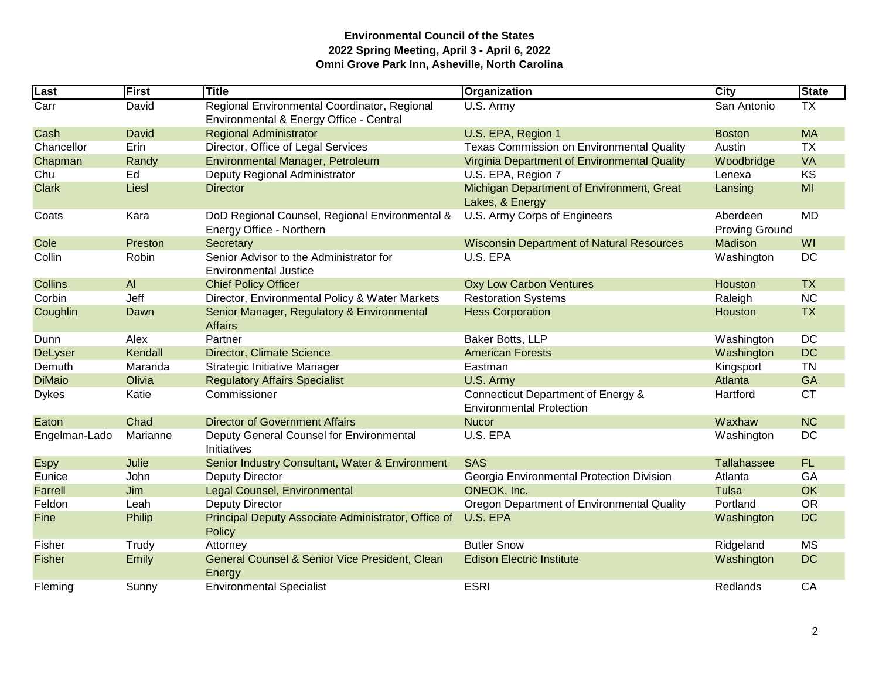| Last           | <b>First</b> | Title                                                                                   | Organization                                                          | <b>City</b>                       | <b>State</b> |
|----------------|--------------|-----------------------------------------------------------------------------------------|-----------------------------------------------------------------------|-----------------------------------|--------------|
| Carr           | David        | Regional Environmental Coordinator, Regional<br>Environmental & Energy Office - Central | U.S. Army                                                             | San Antonio                       | <b>TX</b>    |
| Cash           | David        | <b>Regional Administrator</b>                                                           | U.S. EPA, Region 1                                                    | <b>Boston</b>                     | <b>MA</b>    |
| Chancellor     | Erin         | Director, Office of Legal Services                                                      | <b>Texas Commission on Environmental Quality</b>                      | Austin                            | <b>TX</b>    |
| Chapman        | Randy        | Environmental Manager, Petroleum                                                        | Virginia Department of Environmental Quality                          | Woodbridge                        | <b>VA</b>    |
| Chu            | Ed           | Deputy Regional Administrator                                                           | U.S. EPA, Region 7                                                    | Lenexa                            | KS           |
| <b>Clark</b>   | Liesl        | <b>Director</b>                                                                         | Michigan Department of Environment, Great<br>Lakes, & Energy          | Lansing                           | MI           |
| Coats          | Kara         | DoD Regional Counsel, Regional Environmental &<br>Energy Office - Northern              | U.S. Army Corps of Engineers                                          | Aberdeen<br><b>Proving Ground</b> | <b>MD</b>    |
| Cole           | Preston      | Secretary                                                                               | <b>Wisconsin Department of Natural Resources</b>                      | Madison                           | WI           |
| Collin         | Robin        | Senior Advisor to the Administrator for<br><b>Environmental Justice</b>                 | U.S. EPA                                                              | Washington                        | DC           |
| <b>Collins</b> | AI           | <b>Chief Policy Officer</b>                                                             | <b>Oxy Low Carbon Ventures</b>                                        | Houston                           | <b>TX</b>    |
| Corbin         | Jeff         | Director, Environmental Policy & Water Markets                                          | <b>Restoration Systems</b>                                            | Raleigh                           | <b>NC</b>    |
| Coughlin       | Dawn         | Senior Manager, Regulatory & Environmental<br><b>Affairs</b>                            | <b>Hess Corporation</b>                                               | Houston                           | <b>TX</b>    |
| Dunn           | Alex         | Partner                                                                                 | Baker Botts, LLP                                                      | Washington                        | <b>DC</b>    |
| <b>DeLyser</b> | Kendall      | <b>Director, Climate Science</b>                                                        | <b>American Forests</b>                                               | Washington                        | <b>DC</b>    |
| Demuth         | Maranda      | Strategic Initiative Manager                                                            | Eastman                                                               | Kingsport                         | <b>TN</b>    |
| <b>DiMaio</b>  | Olivia       | <b>Regulatory Affairs Specialist</b>                                                    | U.S. Army                                                             | Atlanta                           | <b>GA</b>    |
| <b>Dykes</b>   | Katie        | Commissioner                                                                            | Connecticut Department of Energy &<br><b>Environmental Protection</b> | Hartford                          | <b>CT</b>    |
| Eaton          | Chad         | <b>Director of Government Affairs</b>                                                   | <b>Nucor</b>                                                          | Waxhaw                            | <b>NC</b>    |
| Engelman-Lado  | Marianne     | Deputy General Counsel for Environmental<br>Initiatives                                 | U.S. EPA                                                              | Washington                        | DC           |
| <b>Espy</b>    | Julie        | Senior Industry Consultant, Water & Environment                                         | <b>SAS</b>                                                            | Tallahassee                       | <b>FL</b>    |
| Eunice         | John         | <b>Deputy Director</b>                                                                  | Georgia Environmental Protection Division                             | Atlanta                           | GA           |
| Farrell        | Jim          | Legal Counsel, Environmental                                                            | ONEOK, Inc.                                                           | Tulsa                             | <b>OK</b>    |
| Feldon         | Leah         | <b>Deputy Director</b>                                                                  | Oregon Department of Environmental Quality                            | Portland                          | <b>OR</b>    |
| Fine           | Philip       | Principal Deputy Associate Administrator, Office of<br>Policy                           | U.S. EPA                                                              | Washington                        | <b>DC</b>    |
| Fisher         | Trudy        | Attorney                                                                                | <b>Butler Snow</b>                                                    | Ridgeland                         | <b>MS</b>    |
| <b>Fisher</b>  | Emily        | General Counsel & Senior Vice President, Clean<br>Energy                                | <b>Edison Electric Institute</b>                                      | Washington                        | <b>DC</b>    |
| Fleming        | Sunny        | <b>Environmental Specialist</b>                                                         | <b>ESRI</b>                                                           | <b>Redlands</b>                   | CA           |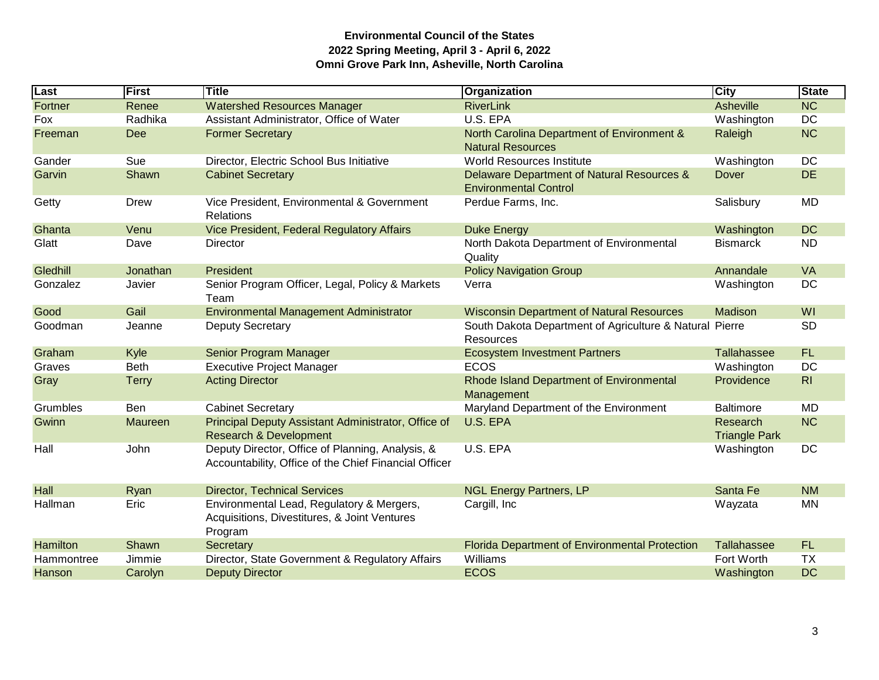| Last       | First        | <b>Title</b>                                                                                              | Organization                                                               | <b>City</b>                      | <b>State</b>   |
|------------|--------------|-----------------------------------------------------------------------------------------------------------|----------------------------------------------------------------------------|----------------------------------|----------------|
| Fortner    | Renee        | <b>Watershed Resources Manager</b>                                                                        | <b>RiverLink</b>                                                           | Asheville                        | <b>NC</b>      |
| Fox        | Radhika      | Assistant Administrator, Office of Water                                                                  | U.S. EPA                                                                   | Washington                       | <b>DC</b>      |
| Freeman    | Dee          | <b>Former Secretary</b>                                                                                   | North Carolina Department of Environment &<br><b>Natural Resources</b>     | Raleigh                          | <b>NC</b>      |
| Gander     | Sue          | Director, Electric School Bus Initiative                                                                  | <b>World Resources Institute</b>                                           | Washington                       | <b>DC</b>      |
| Garvin     | Shawn        | <b>Cabinet Secretary</b>                                                                                  | Delaware Department of Natural Resources &<br><b>Environmental Control</b> | <b>Dover</b>                     | <b>DE</b>      |
| Getty      | Drew         | Vice President, Environmental & Government<br><b>Relations</b>                                            | Perdue Farms, Inc.                                                         | Salisbury                        | <b>MD</b>      |
| Ghanta     | Venu         | Vice President, Federal Regulatory Affairs                                                                | <b>Duke Energy</b>                                                         | Washington                       | <b>DC</b>      |
| Glatt      | Dave         | Director                                                                                                  | North Dakota Department of Environmental<br>Quality                        | <b>Bismarck</b>                  | <b>ND</b>      |
| Gledhill   | Jonathan     | President                                                                                                 | <b>Policy Navigation Group</b>                                             | Annandale                        | VA             |
| Gonzalez   | Javier       | Senior Program Officer, Legal, Policy & Markets<br>Team                                                   | Verra                                                                      | Washington                       | <b>DC</b>      |
| Good       | Gail         | <b>Environmental Management Administrator</b>                                                             | <b>Wisconsin Department of Natural Resources</b>                           | Madison                          | WI             |
| Goodman    | Jeanne       | <b>Deputy Secretary</b>                                                                                   | South Dakota Department of Agriculture & Natural Pierre<br>Resources       |                                  | <b>SD</b>      |
| Graham     | Kyle         | Senior Program Manager                                                                                    | <b>Ecosystem Investment Partners</b>                                       | <b>Tallahassee</b>               | FL.            |
| Graves     | <b>Beth</b>  | <b>Executive Project Manager</b>                                                                          | <b>ECOS</b>                                                                | Washington                       | <b>DC</b>      |
| Gray       | <b>Terry</b> | <b>Acting Director</b>                                                                                    | Rhode Island Department of Environmental<br>Management                     | Providence                       | R <sub>l</sub> |
| Grumbles   | Ben          | <b>Cabinet Secretary</b>                                                                                  | Maryland Department of the Environment                                     | <b>Baltimore</b>                 | <b>MD</b>      |
| Gwinn      | Maureen      | Principal Deputy Assistant Administrator, Office of<br><b>Research &amp; Development</b>                  | U.S. EPA                                                                   | Research<br><b>Triangle Park</b> | <b>NC</b>      |
| Hall       | John         | Deputy Director, Office of Planning, Analysis, &<br>Accountability, Office of the Chief Financial Officer | U.S. EPA                                                                   | Washington                       | <b>DC</b>      |
| Hall       | Ryan         | <b>Director, Technical Services</b>                                                                       | <b>NGL Energy Partners, LP</b>                                             | Santa Fe                         | <b>NM</b>      |
| Hallman    | Eric         | Environmental Lead, Regulatory & Mergers,<br>Acquisitions, Divestitures, & Joint Ventures<br>Program      | Cargill, Inc                                                               | Wayzata                          | <b>MN</b>      |
| Hamilton   | Shawn        | Secretary                                                                                                 | <b>Florida Department of Environmental Protection</b>                      | Tallahassee                      | <b>FL</b>      |
| Hammontree | Jimmie       | Director, State Government & Regulatory Affairs                                                           | Williams                                                                   | Fort Worth                       | <b>TX</b>      |
| Hanson     | Carolyn      | <b>Deputy Director</b>                                                                                    | <b>ECOS</b>                                                                | Washington                       | <b>DC</b>      |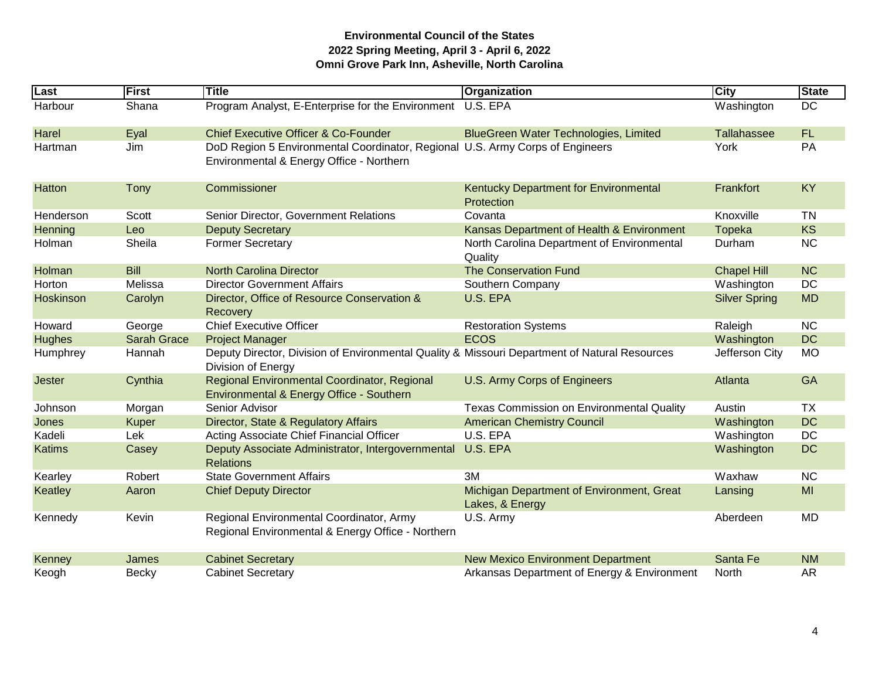| Last          | First              | <b>Title</b>                                                                                                              | <b>Organization</b>                                          | <b>City</b>          | <b>State</b> |
|---------------|--------------------|---------------------------------------------------------------------------------------------------------------------------|--------------------------------------------------------------|----------------------|--------------|
| Harbour       | Shana              | Program Analyst, E-Enterprise for the Environment                                                                         | U.S. EPA                                                     | Washington           | <b>DC</b>    |
| Harel         | Eyal               | <b>Chief Executive Officer &amp; Co-Founder</b>                                                                           | <b>BlueGreen Water Technologies, Limited</b>                 | <b>Tallahassee</b>   | <b>FL</b>    |
| Hartman       | Jim                | DoD Region 5 Environmental Coordinator, Regional U.S. Army Corps of Engineers<br>Environmental & Energy Office - Northern |                                                              | York                 | PA           |
| Hatton        | <b>Tony</b>        | Commissioner                                                                                                              | Kentucky Department for Environmental<br>Protection          | Frankfort            | <b>KY</b>    |
| Henderson     | Scott              | Senior Director, Government Relations                                                                                     | Covanta                                                      | Knoxville            | <b>TN</b>    |
| Henning       | Leo                | <b>Deputy Secretary</b>                                                                                                   | Kansas Department of Health & Environment                    | <b>Topeka</b>        | <b>KS</b>    |
| Holman        | Sheila             | <b>Former Secretary</b>                                                                                                   | North Carolina Department of Environmental<br>Quality        | Durham               | <b>NC</b>    |
| Holman        | <b>Bill</b>        | <b>North Carolina Director</b>                                                                                            | <b>The Conservation Fund</b>                                 | <b>Chapel Hill</b>   | <b>NC</b>    |
| Horton        | Melissa            | <b>Director Government Affairs</b>                                                                                        | Southern Company                                             | Washington           | <b>DC</b>    |
| Hoskinson     | Carolyn            | Director, Office of Resource Conservation &<br>Recovery                                                                   | U.S. EPA                                                     | <b>Silver Spring</b> | <b>MD</b>    |
| Howard        | George             | <b>Chief Executive Officer</b>                                                                                            | <b>Restoration Systems</b>                                   | Raleigh              | <b>NC</b>    |
| <b>Hughes</b> | <b>Sarah Grace</b> | <b>Project Manager</b>                                                                                                    | <b>ECOS</b>                                                  | Washington           | <b>DC</b>    |
| Humphrey      | Hannah             | Deputy Director, Division of Environmental Quality & Missouri Department of Natural Resources<br>Division of Energy       |                                                              | Jefferson City       | <b>MO</b>    |
| <b>Jester</b> | Cynthia            | Regional Environmental Coordinator, Regional<br>Environmental & Energy Office - Southern                                  | U.S. Army Corps of Engineers                                 | Atlanta              | GA           |
| Johnson       | Morgan             | Senior Advisor                                                                                                            | <b>Texas Commission on Environmental Quality</b>             | Austin               | <b>TX</b>    |
| Jones         | <b>Kuper</b>       | Director, State & Regulatory Affairs                                                                                      | <b>American Chemistry Council</b>                            | Washington           | <b>DC</b>    |
| Kadeli        | Lek                | Acting Associate Chief Financial Officer                                                                                  | U.S. EPA                                                     | Washington           | <b>DC</b>    |
| <b>Katims</b> | Casey              | Deputy Associate Administrator, Intergovernmental<br><b>Relations</b>                                                     | U.S. EPA                                                     | Washington           | <b>DC</b>    |
| Kearley       | Robert             | <b>State Government Affairs</b>                                                                                           | 3M                                                           | Waxhaw               | <b>NC</b>    |
| Keatley       | Aaron              | <b>Chief Deputy Director</b>                                                                                              | Michigan Department of Environment, Great<br>Lakes, & Energy | Lansing              | MI           |
| Kennedy       | Kevin              | Regional Environmental Coordinator, Army<br>Regional Environmental & Energy Office - Northern                             | U.S. Army                                                    | Aberdeen             | <b>MD</b>    |
| Kenney        | James              | <b>Cabinet Secretary</b>                                                                                                  | <b>New Mexico Environment Department</b>                     | Santa Fe             | <b>NM</b>    |
| Keogh         | <b>Becky</b>       | <b>Cabinet Secretary</b>                                                                                                  | Arkansas Department of Energy & Environment                  | North                | <b>AR</b>    |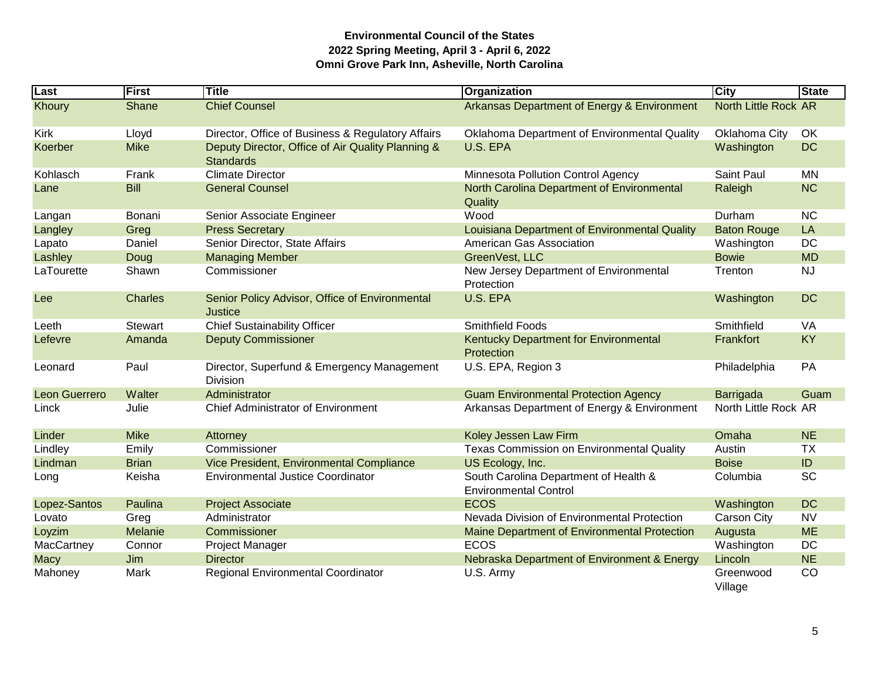| $\overline{\text{Last}}$ | <b>First</b>   | Title                                                                 | Organization                                                          | City                 | <b>State</b> |
|--------------------------|----------------|-----------------------------------------------------------------------|-----------------------------------------------------------------------|----------------------|--------------|
| Khoury                   | Shane          | <b>Chief Counsel</b>                                                  | Arkansas Department of Energy & Environment                           | North Little Rock AR |              |
| <b>Kirk</b>              | Lloyd          | Director, Office of Business & Regulatory Affairs                     | Oklahoma Department of Environmental Quality                          | Oklahoma City        | OK           |
| Koerber                  | <b>Mike</b>    | Deputy Director, Office of Air Quality Planning &<br><b>Standards</b> | U.S. EPA                                                              | Washington           | <b>DC</b>    |
| Kohlasch                 | Frank          | <b>Climate Director</b>                                               | Minnesota Pollution Control Agency                                    | Saint Paul           | <b>MN</b>    |
| Lane                     | <b>Bill</b>    | <b>General Counsel</b>                                                | North Carolina Department of Environmental<br>Quality                 | Raleigh              | <b>NC</b>    |
| Langan                   | Bonani         | Senior Associate Engineer                                             | Wood                                                                  | Durham               | <b>NC</b>    |
| Langley                  | Greg           | <b>Press Secretary</b>                                                | Louisiana Department of Environmental Quality                         | <b>Baton Rouge</b>   | LA           |
| Lapato                   | Daniel         | Senior Director, State Affairs                                        | American Gas Association                                              | Washington           | <b>DC</b>    |
| Lashley                  | Doug           | <b>Managing Member</b>                                                | GreenVest, LLC                                                        | <b>Bowie</b>         | <b>MD</b>    |
| LaTourette               | Shawn          | Commissioner                                                          | New Jersey Department of Environmental<br>Protection                  | Trenton              | <b>NJ</b>    |
| Lee                      | <b>Charles</b> | Senior Policy Advisor, Office of Environmental<br>Justice             | U.S. EPA                                                              | Washington           | <b>DC</b>    |
| Leeth                    | <b>Stewart</b> | <b>Chief Sustainability Officer</b>                                   | Smithfield Foods                                                      | Smithfield           | <b>VA</b>    |
| Lefevre                  | Amanda         | <b>Deputy Commissioner</b>                                            | Kentucky Department for Environmental<br>Protection                   | Frankfort            | <b>KY</b>    |
| Leonard                  | Paul           | Director, Superfund & Emergency Management<br><b>Division</b>         | U.S. EPA, Region 3                                                    | Philadelphia         | PA           |
| Leon Guerrero            | Walter         | Administrator                                                         | <b>Guam Environmental Protection Agency</b>                           | Barrigada            | Guam         |
| Linck                    | Julie          | <b>Chief Administrator of Environment</b>                             | Arkansas Department of Energy & Environment                           | North Little Rock AR |              |
| Linder                   | <b>Mike</b>    | Attorney                                                              | Koley Jessen Law Firm                                                 | Omaha                | <b>NE</b>    |
| Lindley                  | Emily          | Commissioner                                                          | Texas Commission on Environmental Quality                             | Austin               | <b>TX</b>    |
| Lindman                  | <b>Brian</b>   | Vice President, Environmental Compliance                              | US Ecology, Inc.                                                      | <b>Boise</b>         | ID           |
| Long                     | Keisha         | Environmental Justice Coordinator                                     | South Carolina Department of Health &<br><b>Environmental Control</b> | Columbia             | <b>SC</b>    |
| Lopez-Santos             | Paulina        | <b>Project Associate</b>                                              | <b>ECOS</b>                                                           | Washington           | <b>DC</b>    |
| Lovato                   | Greg           | Administrator                                                         | Nevada Division of Environmental Protection                           | Carson City          | <b>NV</b>    |
| Loyzim                   | Melanie        | Commissioner                                                          | Maine Department of Environmental Protection                          | Augusta              | <b>ME</b>    |
| MacCartney               | Connor         | Project Manager                                                       | <b>ECOS</b>                                                           | Washington           | DC           |
| <b>Macy</b>              | Jim            | <b>Director</b>                                                       | Nebraska Department of Environment & Energy                           | Lincoln              | <b>NE</b>    |
| Mahoney                  | Mark           | Regional Environmental Coordinator                                    | U.S. Army                                                             | Greenwood<br>Village | CO           |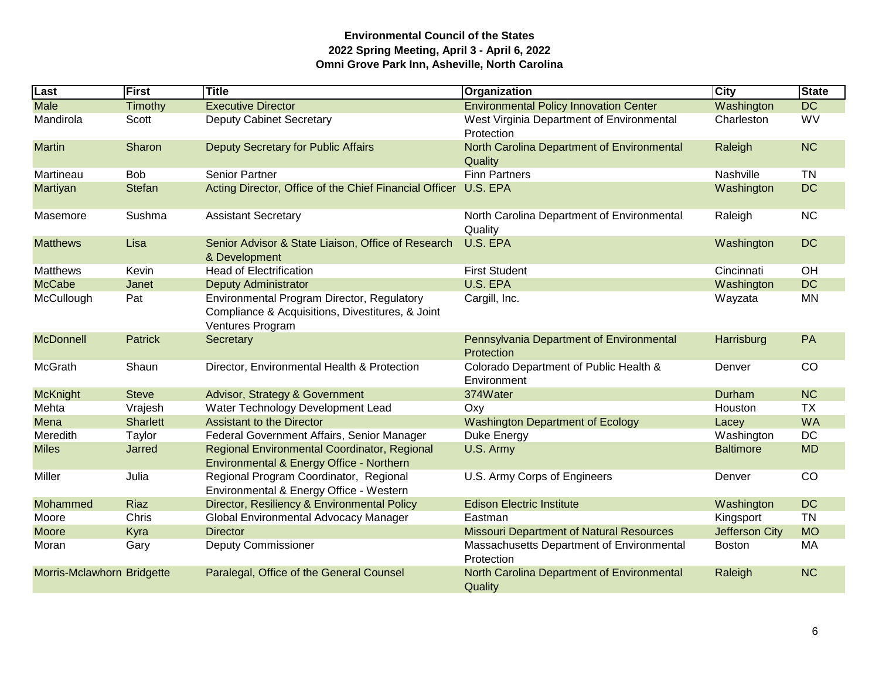| Last                       | First           | Title                                                                                                              | Organization                                            | <b>City</b>           | <b>State</b> |
|----------------------------|-----------------|--------------------------------------------------------------------------------------------------------------------|---------------------------------------------------------|-----------------------|--------------|
| <b>Male</b>                | Timothy         | <b>Executive Director</b>                                                                                          | <b>Environmental Policy Innovation Center</b>           | Washington            | <b>DC</b>    |
| Mandirola                  | Scott           | <b>Deputy Cabinet Secretary</b>                                                                                    | West Virginia Department of Environmental<br>Protection | Charleston            | WV           |
| <b>Martin</b>              | Sharon          | <b>Deputy Secretary for Public Affairs</b>                                                                         | North Carolina Department of Environmental<br>Quality   | Raleigh               | <b>NC</b>    |
| Martineau                  | <b>Bob</b>      | <b>Senior Partner</b>                                                                                              | <b>Finn Partners</b>                                    | Nashville             | <b>TN</b>    |
| <b>Martiyan</b>            | <b>Stefan</b>   | Acting Director, Office of the Chief Financial Officer                                                             | U.S. EPA                                                | Washington            | <b>DC</b>    |
| Masemore                   | Sushma          | <b>Assistant Secretary</b>                                                                                         | North Carolina Department of Environmental<br>Quality   | Raleigh               | <b>NC</b>    |
| <b>Matthews</b>            | Lisa            | Senior Advisor & State Liaison, Office of Research<br>& Development                                                | U.S. EPA                                                | Washington            | <b>DC</b>    |
| <b>Matthews</b>            | Kevin           | <b>Head of Electrification</b>                                                                                     | <b>First Student</b>                                    | Cincinnati            | OH           |
| <b>McCabe</b>              | Janet           | <b>Deputy Administrator</b>                                                                                        | U.S. EPA                                                | Washington            | <b>DC</b>    |
| McCullough                 | Pat             | Environmental Program Director, Regulatory<br>Compliance & Acquisitions, Divestitures, & Joint<br>Ventures Program | Cargill, Inc.                                           | Wayzata               | <b>MN</b>    |
| <b>McDonnell</b>           | <b>Patrick</b>  | Secretary                                                                                                          | Pennsylvania Department of Environmental<br>Protection  | Harrisburg            | PA           |
| McGrath                    | Shaun           | Director, Environmental Health & Protection                                                                        | Colorado Department of Public Health &<br>Environment   | Denver                | CO           |
| <b>McKnight</b>            | <b>Steve</b>    | Advisor, Strategy & Government                                                                                     | 374Water                                                | Durham                | <b>NC</b>    |
| Mehta                      | Vrajesh         | Water Technology Development Lead                                                                                  | Oxy                                                     | Houston               | <b>TX</b>    |
| Mena                       | <b>Sharlett</b> | <b>Assistant to the Director</b>                                                                                   | <b>Washington Department of Ecology</b>                 | Lacey                 | <b>WA</b>    |
| Meredith                   | Taylor          | Federal Government Affairs, Senior Manager                                                                         | Duke Energy                                             | Washington            | <b>DC</b>    |
| <b>Miles</b>               | Jarred          | Regional Environmental Coordinator, Regional<br>Environmental & Energy Office - Northern                           | U.S. Army                                               | <b>Baltimore</b>      | <b>MD</b>    |
| Miller                     | Julia           | Regional Program Coordinator, Regional<br>Environmental & Energy Office - Western                                  | U.S. Army Corps of Engineers                            | Denver                | CO           |
| Mohammed                   | <b>Riaz</b>     | Director, Resiliency & Environmental Policy                                                                        | <b>Edison Electric Institute</b>                        | Washington            | <b>DC</b>    |
| Moore                      | Chris           | Global Environmental Advocacy Manager                                                                              | Eastman                                                 | Kingsport             | <b>TN</b>    |
| <b>Moore</b>               | Kyra            | <b>Director</b>                                                                                                    | <b>Missouri Department of Natural Resources</b>         | <b>Jefferson City</b> | <b>MO</b>    |
| Moran                      | Gary            | <b>Deputy Commissioner</b>                                                                                         | Massachusetts Department of Environmental<br>Protection | <b>Boston</b>         | MA           |
| Morris-Mclawhorn Bridgette |                 | Paralegal, Office of the General Counsel                                                                           | North Carolina Department of Environmental<br>Quality   | Raleigh               | <b>NC</b>    |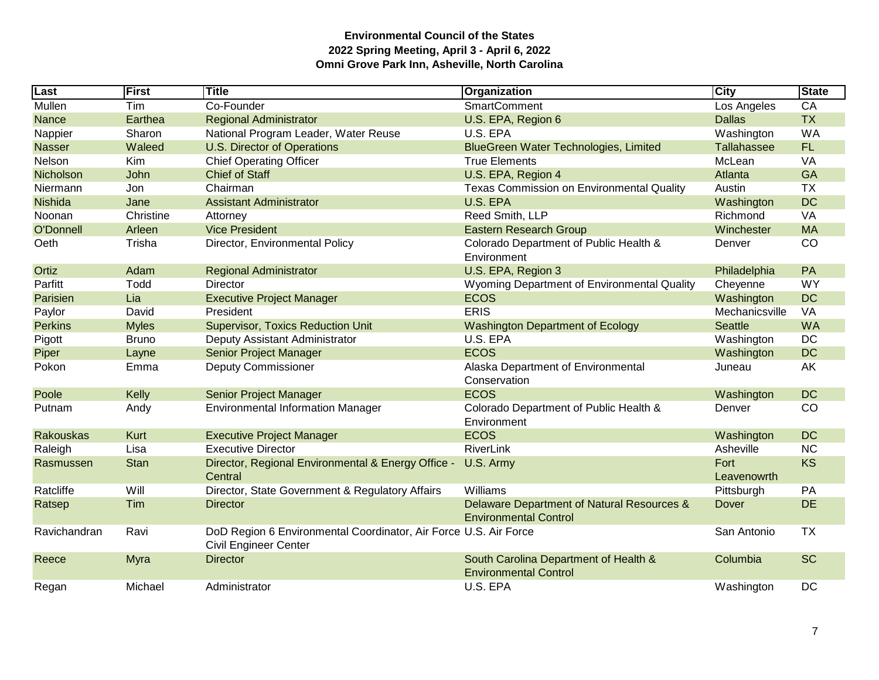| Last             | First        | Title                                                                                            | Organization                                                               | <b>City</b>         | <b>State</b> |
|------------------|--------------|--------------------------------------------------------------------------------------------------|----------------------------------------------------------------------------|---------------------|--------------|
| Mullen           | Tim          | Co-Founder                                                                                       | <b>SmartComment</b>                                                        | Los Angeles         | CA           |
| <b>Nance</b>     | Earthea      | <b>Regional Administrator</b>                                                                    | U.S. EPA, Region 6                                                         | <b>Dallas</b>       | <b>TX</b>    |
| Nappier          | Sharon       | National Program Leader, Water Reuse                                                             | U.S. EPA                                                                   | Washington          | <b>WA</b>    |
| <b>Nasser</b>    | Waleed       | <b>U.S. Director of Operations</b>                                                               | BlueGreen Water Technologies, Limited                                      | <b>Tallahassee</b>  | FL.          |
| Nelson           | Kim          | <b>Chief Operating Officer</b>                                                                   | <b>True Elements</b>                                                       | McLean              | <b>VA</b>    |
| Nicholson        | John         | <b>Chief of Staff</b>                                                                            | U.S. EPA, Region 4                                                         | Atlanta             | <b>GA</b>    |
| Niermann         | Jon          | Chairman                                                                                         | <b>Texas Commission on Environmental Quality</b>                           | Austin              | <b>TX</b>    |
| Nishida          | Jane         | <b>Assistant Administrator</b>                                                                   | U.S. EPA                                                                   | Washington          | <b>DC</b>    |
| Noonan           | Christine    | Attorney                                                                                         | Reed Smith, LLP                                                            | Richmond            | VA           |
| O'Donnell        | Arleen       | <b>Vice President</b>                                                                            | <b>Eastern Research Group</b>                                              | Winchester          | <b>MA</b>    |
| Oeth             | Trisha       | Director, Environmental Policy                                                                   | Colorado Department of Public Health &<br>Environment                      | Denver              | CO           |
| Ortiz            | Adam         | <b>Regional Administrator</b>                                                                    | U.S. EPA, Region 3                                                         | Philadelphia        | PA           |
| Parfitt          | Todd         | Director                                                                                         | Wyoming Department of Environmental Quality                                | Cheyenne            | <b>WY</b>    |
| Parisien         | Lia          | <b>Executive Project Manager</b>                                                                 | <b>ECOS</b>                                                                | Washington          | <b>DC</b>    |
| Paylor           | David        | President                                                                                        | <b>ERIS</b>                                                                | Mechanicsville      | VA           |
| <b>Perkins</b>   | <b>Myles</b> | <b>Supervisor, Toxics Reduction Unit</b>                                                         | <b>Washington Department of Ecology</b>                                    | <b>Seattle</b>      | <b>WA</b>    |
| Pigott           | <b>Bruno</b> | Deputy Assistant Administrator                                                                   | U.S. EPA                                                                   | Washington          | DC           |
| Piper            | Layne        | Senior Project Manager                                                                           | <b>ECOS</b>                                                                | Washington          | <b>DC</b>    |
| Pokon            | Emma         | <b>Deputy Commissioner</b>                                                                       | Alaska Department of Environmental<br>Conservation                         | Juneau              | AK           |
| Poole            | Kelly        | Senior Project Manager                                                                           | <b>ECOS</b>                                                                | Washington          | <b>DC</b>    |
| Putnam           | Andy         | <b>Environmental Information Manager</b>                                                         | Colorado Department of Public Health &<br>Environment                      | Denver              | CO           |
| <b>Rakouskas</b> | Kurt         | <b>Executive Project Manager</b>                                                                 | <b>ECOS</b>                                                                | Washington          | <b>DC</b>    |
| Raleigh          | Lisa         | <b>Executive Director</b>                                                                        | <b>RiverLink</b>                                                           | Asheville           | <b>NC</b>    |
| Rasmussen        | <b>Stan</b>  | Director, Regional Environmental & Energy Office -<br>Central                                    | U.S. Army                                                                  | Fort<br>Leavenowrth | <b>KS</b>    |
| Ratcliffe        | Will         | Director, State Government & Regulatory Affairs                                                  | Williams                                                                   | Pittsburgh          | PA           |
| Ratsep           | Tim          | <b>Director</b>                                                                                  | Delaware Department of Natural Resources &<br><b>Environmental Control</b> | Dover               | <b>DE</b>    |
| Ravichandran     | Ravi         | DoD Region 6 Environmental Coordinator, Air Force U.S. Air Force<br><b>Civil Engineer Center</b> |                                                                            | San Antonio         | <b>TX</b>    |
| Reece            | Myra         | <b>Director</b>                                                                                  | South Carolina Department of Health &<br><b>Environmental Control</b>      | Columbia            | <b>SC</b>    |
| Regan            | Michael      | Administrator                                                                                    | U.S. EPA                                                                   | Washington          | <b>DC</b>    |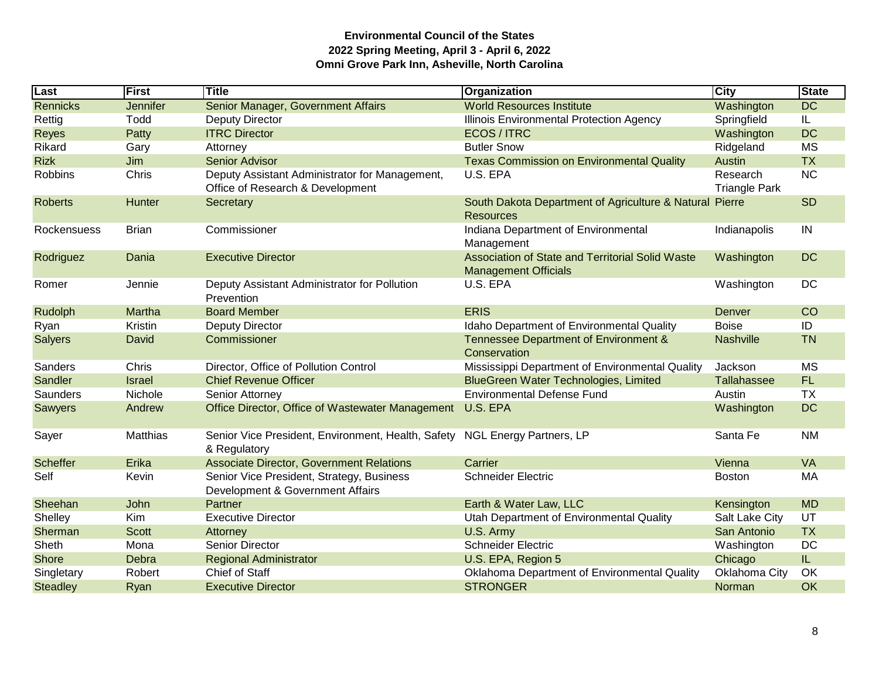| Last            | <b>First</b>    | <b>Title</b>                                                                       | Organization                                                                    | <b>City</b>                      | <b>State</b> |
|-----------------|-----------------|------------------------------------------------------------------------------------|---------------------------------------------------------------------------------|----------------------------------|--------------|
| <b>Rennicks</b> | <b>Jennifer</b> | Senior Manager, Government Affairs                                                 | <b>World Resources Institute</b>                                                | Washington                       | <b>DC</b>    |
| Rettig          | Todd            | <b>Deputy Director</b>                                                             | Illinois Environmental Protection Agency                                        | Springfield                      | IL.          |
| <b>Reyes</b>    | Patty           | <b>ITRC Director</b>                                                               | ECOS / ITRC                                                                     | Washington                       | <b>DC</b>    |
| Rikard          | Gary            | Attorney                                                                           | <b>Butler Snow</b>                                                              | Ridgeland                        | <b>MS</b>    |
| <b>Rizk</b>     | Jim             | <b>Senior Advisor</b>                                                              | <b>Texas Commission on Environmental Quality</b>                                | Austin                           | <b>TX</b>    |
| <b>Robbins</b>  | Chris           | Deputy Assistant Administrator for Management,<br>Office of Research & Development | U.S. EPA                                                                        | Research<br><b>Triangle Park</b> | <b>NC</b>    |
| <b>Roberts</b>  | Hunter          | Secretary                                                                          | South Dakota Department of Agriculture & Natural<br>Resources                   | Pierre                           | <b>SD</b>    |
| Rockensuess     | <b>Brian</b>    | Commissioner                                                                       | Indiana Department of Environmental<br>Management                               | Indianapolis                     | IN           |
| Rodriguez       | Dania           | <b>Executive Director</b>                                                          | Association of State and Territorial Solid Waste<br><b>Management Officials</b> | Washington                       | <b>DC</b>    |
| Romer           | Jennie          | Deputy Assistant Administrator for Pollution<br>Prevention                         | U.S. EPA                                                                        | Washington                       | DC           |
| Rudolph         | Martha          | <b>Board Member</b>                                                                | <b>ERIS</b>                                                                     | Denver                           | CO           |
| Ryan            | Kristin         | <b>Deputy Director</b>                                                             | Idaho Department of Environmental Quality                                       | <b>Boise</b>                     | ID           |
| <b>Salyers</b>  | David           | Commissioner                                                                       | Tennessee Department of Environment &<br>Conservation                           | Nashville                        | <b>TN</b>    |
| Sanders         | Chris           | Director, Office of Pollution Control                                              | Mississippi Department of Environmental Quality                                 | Jackson                          | <b>MS</b>    |
| Sandler         | <b>Israel</b>   | <b>Chief Revenue Officer</b>                                                       | <b>BlueGreen Water Technologies, Limited</b>                                    | Tallahassee                      | FL.          |
| <b>Saunders</b> | Nichole         | Senior Attorney                                                                    | <b>Environmental Defense Fund</b>                                               | Austin                           | <b>TX</b>    |
| <b>Sawyers</b>  | Andrew          | Office Director, Office of Wastewater Management                                   | U.S. EPA                                                                        | Washington                       | <b>DC</b>    |
| Sayer           | Matthias        | Senior Vice President, Environment, Health, Safety<br>& Regulatory                 | <b>NGL Energy Partners, LP</b>                                                  | Santa Fe                         | <b>NM</b>    |
| <b>Scheffer</b> | Erika           | <b>Associate Director, Government Relations</b>                                    | Carrier                                                                         | Vienna                           | <b>VA</b>    |
| Self            | Kevin           | Senior Vice President, Strategy, Business<br>Development & Government Affairs      | <b>Schneider Electric</b>                                                       | <b>Boston</b>                    | МA           |
| Sheehan         | John            | Partner                                                                            | Earth & Water Law, LLC                                                          | Kensington                       | <b>MD</b>    |
| Shelley         | Kim             | <b>Executive Director</b>                                                          | Utah Department of Environmental Quality                                        | Salt Lake City                   | UT           |
| Sherman         | <b>Scott</b>    | Attorney                                                                           | U.S. Army                                                                       | San Antonio                      | <b>TX</b>    |
| Sheth           | Mona            | Senior Director                                                                    | <b>Schneider Electric</b>                                                       | Washington                       | <b>DC</b>    |
| <b>Shore</b>    | Debra           | <b>Regional Administrator</b>                                                      | U.S. EPA, Region 5                                                              | Chicago                          | IL.          |
| Singletary      | Robert          | Chief of Staff                                                                     | Oklahoma Department of Environmental Quality                                    | Oklahoma City                    | OK           |
| <b>Steadley</b> | Ryan            | <b>Executive Director</b>                                                          | <b>STRONGER</b>                                                                 | Norman                           | OK           |